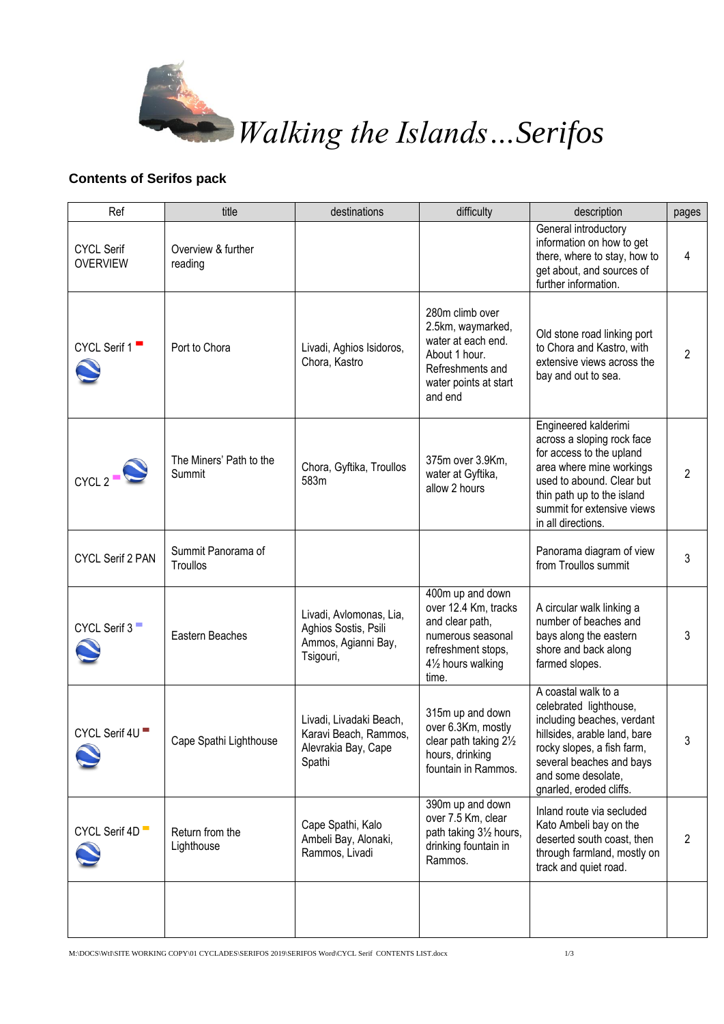

*Walking the Islands…Serifos*

## **Contents of Serifos pack**

| Ref                                  | title                             | destinations                                                                        | difficulty                                                                                                                            | description                                                                                                                                                                                                               | pages          |
|--------------------------------------|-----------------------------------|-------------------------------------------------------------------------------------|---------------------------------------------------------------------------------------------------------------------------------------|---------------------------------------------------------------------------------------------------------------------------------------------------------------------------------------------------------------------------|----------------|
| <b>CYCL Serif</b><br><b>OVERVIEW</b> | Overview & further<br>reading     |                                                                                     |                                                                                                                                       | General introductory<br>information on how to get<br>there, where to stay, how to<br>get about, and sources of<br>further information.                                                                                    | 4              |
| CYCL Serif 1                         | Port to Chora                     | Livadi, Aghios Isidoros,<br>Chora, Kastro                                           | 280m climb over<br>2.5km, waymarked,<br>water at each end.<br>About 1 hour.<br>Refreshments and<br>water points at start<br>and end   | Old stone road linking port<br>to Chora and Kastro, with<br>extensive views across the<br>bay and out to sea.                                                                                                             | $\overline{2}$ |
| CYCL2                                | The Miners' Path to the<br>Summit | Chora, Gyftika, Troullos<br>583m                                                    | 375m over 3.9Km,<br>water at Gyftika,<br>allow 2 hours                                                                                | Engineered kalderimi<br>across a sloping rock face<br>for access to the upland<br>area where mine workings<br>used to abound. Clear but<br>thin path up to the island<br>summit for extensive views<br>in all directions. | $\overline{2}$ |
| CYCL Serif 2 PAN                     | Summit Panorama of<br>Troullos    |                                                                                     |                                                                                                                                       | Panorama diagram of view<br>from Troullos summit                                                                                                                                                                          | 3              |
| CYCL Serif 3                         | Eastern Beaches                   | Livadi, Avlomonas, Lia,<br>Aghios Sostis, Psili<br>Ammos, Agianni Bay,<br>Tsigouri, | 400m up and down<br>over 12.4 Km, tracks<br>and clear path,<br>numerous seasonal<br>refreshment stops,<br>41/2 hours walking<br>time. | A circular walk linking a<br>number of beaches and<br>bays along the eastern<br>shore and back along<br>farmed slopes.                                                                                                    | 3              |
| CYCL Serif 4U                        | Cape Spathi Lighthouse            | Livadi, Livadaki Beach,<br>Karavi Beach, Rammos,<br>Alevrakia Bay, Cape<br>Spathi   | 315m up and down<br>over 6.3Km, mostly<br>clear path taking 21/2<br>hours, drinking<br>fountain in Rammos.                            | A coastal walk to a<br>celebrated lighthouse,<br>including beaches, verdant<br>hillsides, arable land, bare<br>rocky slopes, a fish farm,<br>several beaches and bays<br>and some desolate,<br>gnarled, eroded cliffs.    | 3              |
| CYCL Serif 4D                        | Return from the<br>Lighthouse     | Cape Spathi, Kalo<br>Ambeli Bay, Alonaki,<br>Rammos, Livadi                         | 390m up and down<br>over 7.5 Km, clear<br>path taking 31/2 hours,<br>drinking fountain in<br>Rammos.                                  | Inland route via secluded<br>Kato Ambeli bay on the<br>deserted south coast, then<br>through farmland, mostly on<br>track and quiet road.                                                                                 | 2              |
|                                      |                                   |                                                                                     |                                                                                                                                       |                                                                                                                                                                                                                           |                |

M:\DOCS\WtI\SITE WORKING COPY\01 CYCLADES\SERIFOS 2019\SERIFOS Word\CYCL Serif CONTENTS LIST.docx 1/3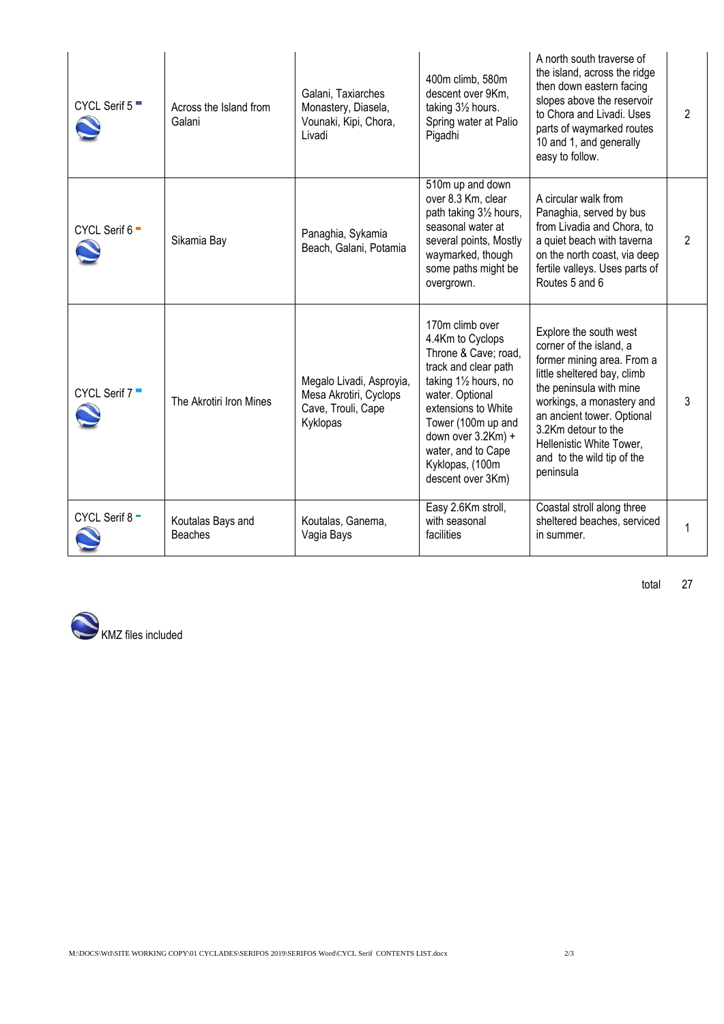| CYCL Serif $5$ <sup><math>\blacksquare</math></sup> | Across the Island from<br>Galani    | Galani, Taxiarches<br>Monastery, Diasela,<br>Vounaki, Kipi, Chora,<br>Livadi         | 400m climb, 580m<br>descent over 9Km,<br>taking 31/2 hours.<br>Spring water at Palio<br>Pigadhi                                                                                                                                                                  | A north south traverse of<br>the island, across the ridge<br>then down eastern facing<br>slopes above the reservoir<br>to Chora and Livadi. Uses<br>parts of waymarked routes<br>10 and 1, and generally<br>easy to follow.                                                                        | $\overline{2}$ |
|-----------------------------------------------------|-------------------------------------|--------------------------------------------------------------------------------------|------------------------------------------------------------------------------------------------------------------------------------------------------------------------------------------------------------------------------------------------------------------|----------------------------------------------------------------------------------------------------------------------------------------------------------------------------------------------------------------------------------------------------------------------------------------------------|----------------|
| CYCL Serif 6 -                                      | Sikamia Bay                         | Panaghia, Sykamia<br>Beach, Galani, Potamia                                          | 510m up and down<br>over 8.3 Km, clear<br>path taking 31/2 hours,<br>seasonal water at<br>several points, Mostly<br>waymarked, though<br>some paths might be<br>overgrown.                                                                                       | A circular walk from<br>Panaghia, served by bus<br>from Livadia and Chora, to<br>a quiet beach with taverna<br>on the north coast, via deep<br>fertile valleys. Uses parts of<br>Routes 5 and 6                                                                                                    | 2              |
| CYCL Serif 7                                        | The Akrotiri Iron Mines             | Megalo Livadi, Asproyia,<br>Mesa Akrotiri, Cyclops<br>Cave, Trouli, Cape<br>Kyklopas | 170m climb over<br>4.4Km to Cyclops<br>Throne & Cave; road,<br>track and clear path<br>taking 11/2 hours, no<br>water. Optional<br>extensions to White<br>Tower (100m up and<br>down over 3.2Km) +<br>water, and to Cape<br>Kyklopas, (100m<br>descent over 3Km) | Explore the south west<br>corner of the island, a<br>former mining area. From a<br>little sheltered bay, climb<br>the peninsula with mine<br>workings, a monastery and<br>an ancient tower. Optional<br>3.2Km detour to the<br>Hellenistic White Tower,<br>and to the wild tip of the<br>peninsula | 3              |
| CYCL Serif 8-                                       | Koutalas Bays and<br><b>Beaches</b> | Koutalas, Ganema,<br>Vagia Bays                                                      | Easy 2.6Km stroll,<br>with seasonal<br>facilities                                                                                                                                                                                                                | Coastal stroll along three<br>sheltered beaches, serviced<br>in summer.                                                                                                                                                                                                                            | 1              |



total 27